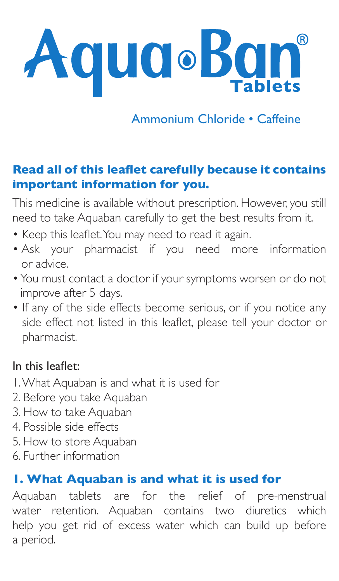

Ammonium Chloride • Caffeine

## **Read all of this leaflet carefully because it contains important information for you.**

This medicine is available without prescription. However, you still need to take Aquaban carefully to get the best results from it.

- Keep this leaflet. You may need to read it again.
- Ask your pharmacist if you need more information or advice.
- You must contact a doctor if your symptoms worsen or do not improve after 5 days.
- If any of the side effects become serious, or if you notice any side effect not listed in this leaflet, please tell your doctor or pharmacist.

### In this leaflet:

- 1. What Aquaban is and what it is used for
- 2. Before you take Aquaban
- 3. How to take Aquaban
- 4. Possible side effects
- 5. How to store Aquaban
- 6. Further information

### **1. What Aquaban is and what it is used for**

Aquaban tablets are for the relief of pre-menstrual water retention. Aquaban contains two diuretics which help you get rid of excess water which can build up before a period.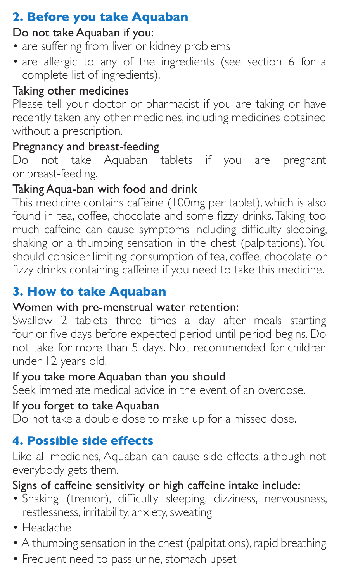# **2. Before you take Aquaban**

## Do not take Aquaban if you:

- are suffering from liver or kidney problems
- are allergic to any of the ingredients (see section 6 for a complete list of ingredients).

## Taking other medicines

Please tell your doctor or pharmacist if you are taking or have recently taken any other medicines, including medicines obtained without a prescription.

## Pregnancy and breast-feeding

Do not take Aquaban tablets if you are pregnant or breast-feeding.

# Taking Aqua-ban with food and drink

This medicine contains caffeine (100mg per tablet), which is also found in tea, coffee, chocolate and some fizzy drinks. Taking too much caffeine can cause symptoms including difficulty sleeping, shaking or a thumping sensation in the chest (palpitations). You should consider limiting consumption of tea, coffee, chocolate or fizzy drinks containing caffeine if you need to take this medicine.

## **3. How to take Aquaban**

### Women with pre-menstrual water retention:

Swallow 2 tablets three times a day after meals starting four or five days before expected period until period begins. Do not take for more than 5 days. Not recommended for children under 12 years old.

### If you take more Aquaban than you should

Seek immediate medical advice in the event of an overdose.

### If you forget to take Aquaban

Do not take a double dose to make up for a missed dose.

# **4. Possible side effects**

Like all medicines, Aquaban can cause side effects, although not everybody gets them.

### Signs of caffeine sensitivity or high caffeine intake include:

- Shaking (tremor), difficulty sleeping, dizziness, nervousness, restlessness, irritability, anxiety, sweating
- Headache
- A thumping sensation in the chest (palpitations), rapid breathing
- Frequent need to pass urine, stomach upset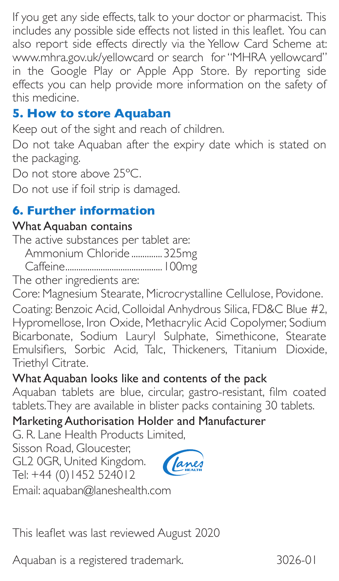If you get any side effects, talk to your doctor or pharmacist. This includes any possible side effects not listed in this leaflet. You can also report side effects directly via the Yellow Card Scheme at: www.mhra.gov.uk/yellowcard or search for "MHRA yellowcard" in the Google Play or Apple App Store. By reporting side effects you can help provide more information on the safety of this medicine.

## **5. How to store Aquaban**

Keep out of the sight and reach of children.

Do not take Aquaban after the expiry date which is stated on the packaging.

Do not store above 25°C.

Do not use if foil strip is damaged.

## **6. Further information**

#### What Aquaban contains

The active substances per tablet are:

Ammonium Chloride ..............325mg

Caffeine............................................100mg

The other ingredients are:

Core: Magnesium Stearate, Microcrystalline Cellulose, Povidone.

Coating: Benzoic Acid, Colloidal Anhydrous Silica, FD&C Blue #2, Hypromellose, Iron Oxide, Methacrylic Acid Copolymer, Sodium Bicarbonate, Sodium Lauryl Sulphate, Simethicone, Stearate Emulsifiers, Sorbic Acid, Talc, Thickeners, Titanium Dioxide, Triethyl Citrate.

### What Aquaban looks like and contents of the pack

Aquaban tablets are blue, circular, gastro-resistant, film coated tablets. They are available in blister packs containing 30 tablets.

## Marketing Authorisation Holder and Manufacturer

G. R. Lane Health Products Limited,

Sisson Road, Gloucester,

GL2 0GR, United Kingdom. Tel: +44 (0)1452 524012



Email: aquaban@laneshealth.com

This leaflet was last reviewed August 2020

Aquaban is a registered trademark. 3026-01